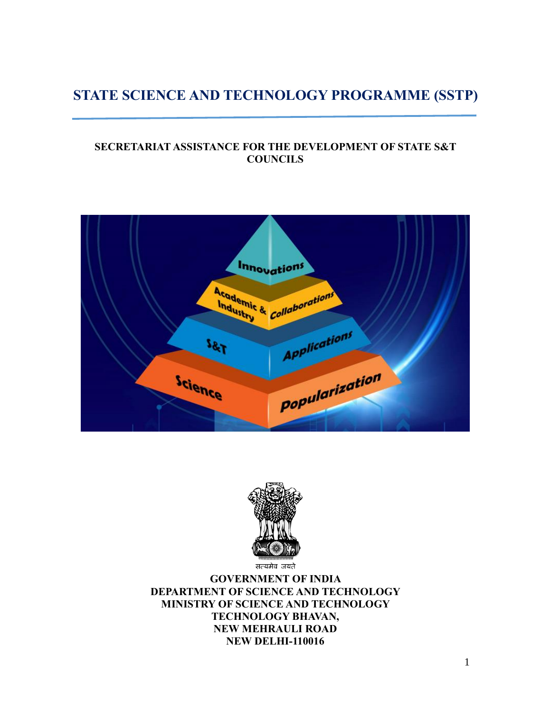# **STATE SCIENCE AND TECHNOLOGY PROGRAMME (SSTP)**

### **SECRETARIAT ASSISTANCE FOR THE DEVELOPMENT OF STATE S&T COUNCILS**





**GOVERNMENT OF INDIA DEPARTMENT OF SCIENCE AND TECHNOLOGY MINISTRY OF SCIENCE AND TECHNOLOGY TECHNOLOGY BHAVAN, NEW MEHRAULI ROAD NEW DELHI-110016**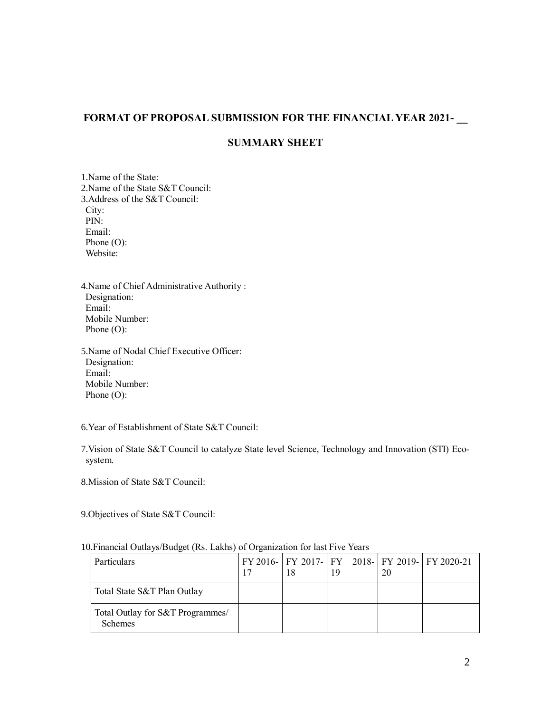#### **FORMAT OF PROPOSAL SUBMISSION FOR THE FINANCIAL YEAR 2021- \_\_**

#### **SUMMARY SHEET**

1.Name of the State: 2.Name of the State S&T Council: 3.Address of the S&T Council: City: PIN: Email: Phone (O): Website:

4.Name of Chief Administrative Authority : Designation: Email: Mobile Number: Phone (O):

5.Name of Nodal Chief Executive Officer: Designation: Email: Mobile Number: Phone (O):

6.Year of Establishment of State S&T Council:

7.Vision of State S&T Council to catalyze State level Science, Technology and Innovation (STI) Ecosystem.

8.Mission of State S&T Council:

9.Objectives of State S&T Council:

| <b>Particulars</b>                                 | 18 | 19 | 20 | FY 2016- FY 2017- FY 2018- FY 2019- FY 2020-21 |
|----------------------------------------------------|----|----|----|------------------------------------------------|
| Total State S&T Plan Outlay                        |    |    |    |                                                |
| Total Outlay for S&T Programmes/<br><b>Schemes</b> |    |    |    |                                                |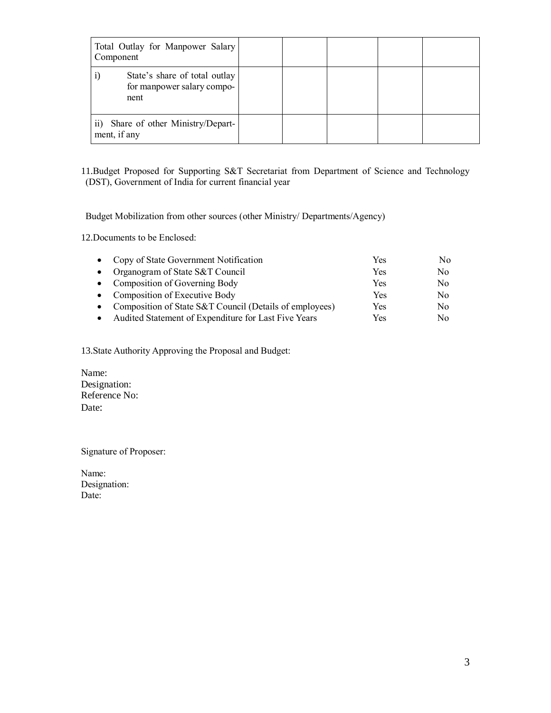| Total Outlay for Manpower Salary<br>Component                       |  |  |  |
|---------------------------------------------------------------------|--|--|--|
| State's share of total outlay<br>for manpower salary compo-<br>nent |  |  |  |
| Share of other Ministry/Depart-<br>$\overline{ii}$<br>ment, if any  |  |  |  |

11.Budget Proposed for Supporting S&T Secretariat from Department of Science and Technology (DST), Government of India for current financial year

Budget Mobilization from other sources (other Ministry/ Departments/Agency)

12.Documents to be Enclosed:

| • Copy of State Government Notification                 | Yes | No. |
|---------------------------------------------------------|-----|-----|
| • Organogram of State S&T Council                       | Yes | No  |
| • Composition of Governing Body                         | Yes | No  |
| • Composition of Executive Body                         | Yes | No  |
| Composition of State S&T Council (Details of employees) | Yes | No  |
| Audited Statement of Expenditure for Last Five Years    | Yes | Nο  |

13.State Authority Approving the Proposal and Budget:

Name: Designation: Reference No: Date:

Signature of Proposer:

Name: Designation: Date: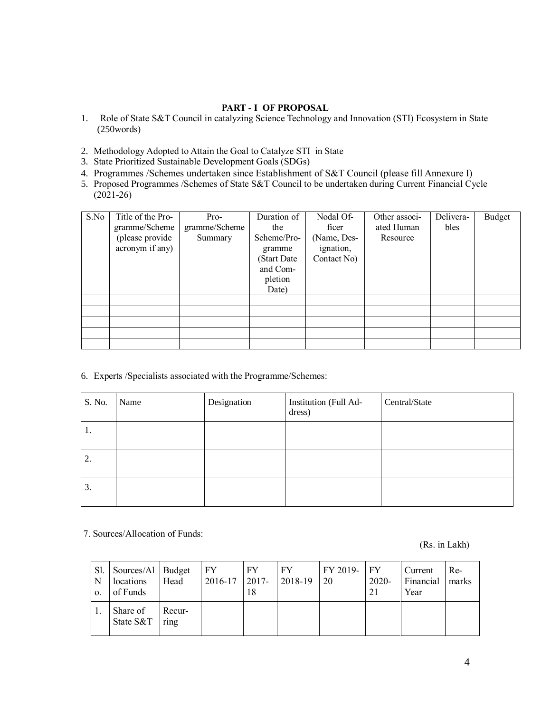#### **PART - I OF PROPOSAL**

- 1. Role of State S&T Council in catalyzing Science Technology and Innovation (STI) Ecosystem in State (250words)
- 2. Methodology Adopted to Attain the Goal to Catalyze STI in State
- 3. State Prioritized Sustainable Development Goals (SDGs)
- 4. Programmes /Schemes undertaken since Establishment of S&T Council (please fill Annexure I)
- 5. Proposed Programmes /Schemes of State S&T Council to be undertaken during Current Financial Cycle (2021-26)

| S.No | Title of the Pro-<br>gramme/Scheme<br>(please provide<br>acronym if any) | Pro-<br>gramme/Scheme<br>Summary | Duration of<br>the<br>Scheme/Pro-<br>gramme<br>(Start Date<br>and Com-<br>pletion<br>Date) | Nodal Of-<br>ficer<br>(Name, Des-<br>ignation,<br>Contact No) | Other associ-<br>ated Human<br>Resource | Delivera-<br>bles | Budget |
|------|--------------------------------------------------------------------------|----------------------------------|--------------------------------------------------------------------------------------------|---------------------------------------------------------------|-----------------------------------------|-------------------|--------|
|      |                                                                          |                                  |                                                                                            |                                                               |                                         |                   |        |
|      |                                                                          |                                  |                                                                                            |                                                               |                                         |                   |        |
|      |                                                                          |                                  |                                                                                            |                                                               |                                         |                   |        |
|      |                                                                          |                                  |                                                                                            |                                                               |                                         |                   |        |
|      |                                                                          |                                  |                                                                                            |                                                               |                                         |                   |        |

6. Experts /Specialists associated with the Programme/Schemes:

| S. No. | Name | Designation | Institution (Full Ad-<br>dress) | Central/State |
|--------|------|-------------|---------------------------------|---------------|
| 1.     |      |             |                                 |               |
| 2.     |      |             |                                 |               |
| 3.     |      |             |                                 |               |

#### 7. Sources/Allocation of Funds:

(Rs. in Lakh)

| N<br>$\Omega$ . | Sl. Sources/Al Budget<br>locations<br>of Funds | Head           | FY.<br>2016-17 | FY.<br>$2017 -$<br>18 | FY.<br>$ 2018-19$ | FY 2019-<br>20 | $ $ FY<br>2020-<br>21 | Current<br>Financial  <br>Year | Re-<br>marks |
|-----------------|------------------------------------------------|----------------|----------------|-----------------------|-------------------|----------------|-----------------------|--------------------------------|--------------|
|                 | Share of<br>State S&T                          | Recur-<br>ring |                |                       |                   |                |                       |                                |              |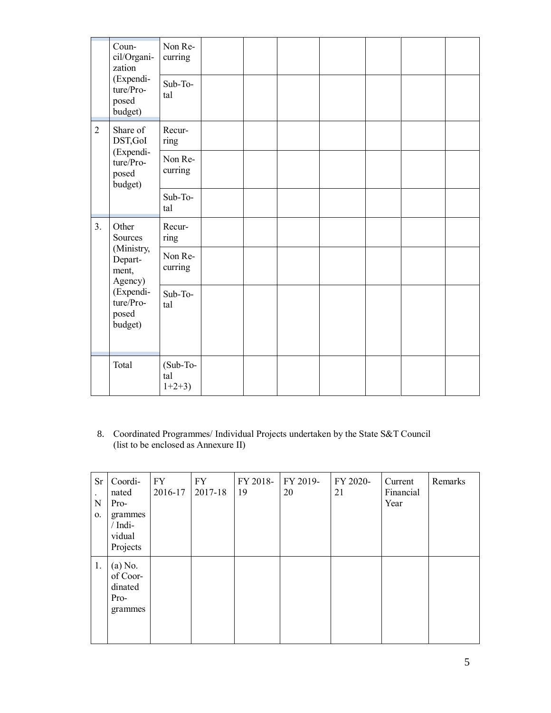|                | Coun-<br>cil/Organi-<br>zation<br>(Expendi-<br>ture/Pro-<br>posed<br>budget)                                | Non Re-<br>curring<br>Sub-To-<br>tal |  |  |  |  |
|----------------|-------------------------------------------------------------------------------------------------------------|--------------------------------------|--|--|--|--|
| $\overline{2}$ | Share of<br>DST, GoI                                                                                        | Recur-<br>ring                       |  |  |  |  |
|                | (Expendi-<br>ture/Pro-<br>posed<br>budget)                                                                  | Non Re-<br>curring                   |  |  |  |  |
|                |                                                                                                             | Sub-To-<br>tal                       |  |  |  |  |
| 3.             | Other<br>Sources<br>(Ministry,<br>Depart-<br>ment,<br>Agency)<br>(Expendi-<br>ture/Pro-<br>posed<br>budget) | Recur-<br>ring                       |  |  |  |  |
|                |                                                                                                             | Non Re-<br>curring                   |  |  |  |  |
|                |                                                                                                             | Sub-To-<br>tal                       |  |  |  |  |
|                | Total                                                                                                       | (Sub-To-<br>tal<br>$1+2+3$           |  |  |  |  |

8. Coordinated Programmes/ Individual Projects undertaken by the State S&T Council (list to be enclosed as Annexure II)

| Sr<br>N<br>0. | Coordi-<br>nated<br>Pro-<br>grammes<br>$/$ Indi-<br>vidual<br>Projects | FY<br>2016-17 | FY<br>2017-18 | FY 2018-<br>19 | FY 2019-<br>20 | FY 2020-<br>21 | Current<br>Financial<br>Year | Remarks |
|---------------|------------------------------------------------------------------------|---------------|---------------|----------------|----------------|----------------|------------------------------|---------|
| 1.            | $(a)$ No.<br>of Coor-<br>dinated<br>Pro-<br>grammes                    |               |               |                |                |                |                              |         |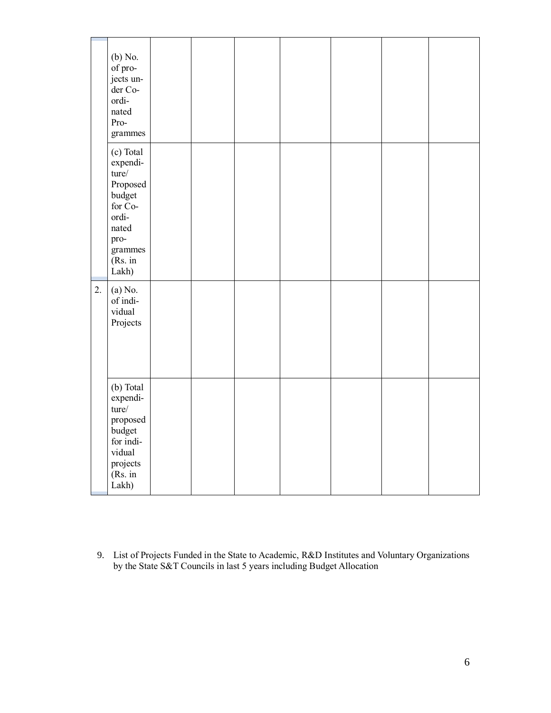|    | (b) No.<br>of pro-<br>jects un-<br>der Co-<br>ordi-<br>nated<br>Pro-<br>grammes                                          |  |  |  |  |
|----|--------------------------------------------------------------------------------------------------------------------------|--|--|--|--|
|    | (c) Total<br>expendi-<br>ture/<br>Proposed<br>budget<br>for Co-<br>ordi-<br>nated<br>pro-<br>grammes<br>(Rs. in<br>Lakh) |  |  |  |  |
| 2. | (a) No.<br>of indi-<br>vidual<br>Projects                                                                                |  |  |  |  |
|    | (b) Total<br>expendi-<br>ture/<br>proposed<br>budget<br>for indi-<br>vidual<br>projects<br>(Rs. in<br>Lakh)              |  |  |  |  |

9. List of Projects Funded in the State to Academic, R&D Institutes and Voluntary Organizations by the State S&T Councils in last 5 years including Budget Allocation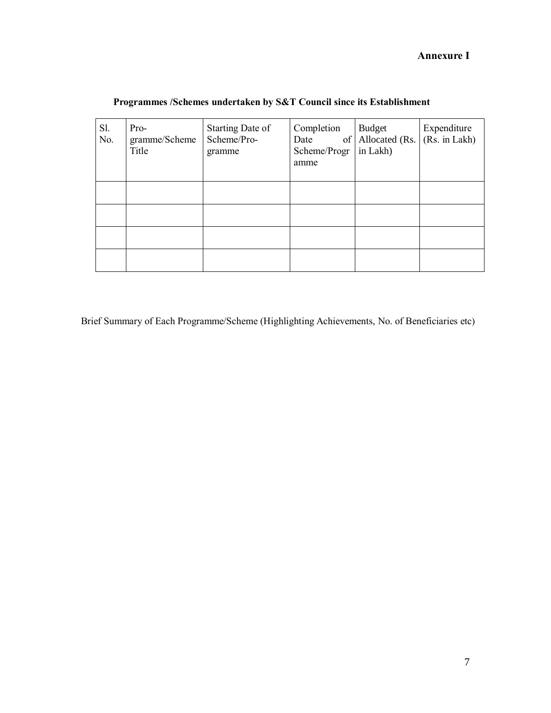### **Annexure I**

| Sl.<br>No. | Pro-<br>gramme/Scheme<br>Title | Starting Date of<br>Scheme/Pro-<br>gramme | Completion<br>Date<br>Scheme/Progr<br>amme | Budget<br>of Allocated (Rs.<br>in Lakh) | Expenditure<br>(Rs. in Lakh) |
|------------|--------------------------------|-------------------------------------------|--------------------------------------------|-----------------------------------------|------------------------------|
|            |                                |                                           |                                            |                                         |                              |
|            |                                |                                           |                                            |                                         |                              |
|            |                                |                                           |                                            |                                         |                              |
|            |                                |                                           |                                            |                                         |                              |

# **Programmes /Schemes undertaken by S&T Council since its Establishment**

Brief Summary of Each Programme/Scheme (Highlighting Achievements, No. of Beneficiaries etc)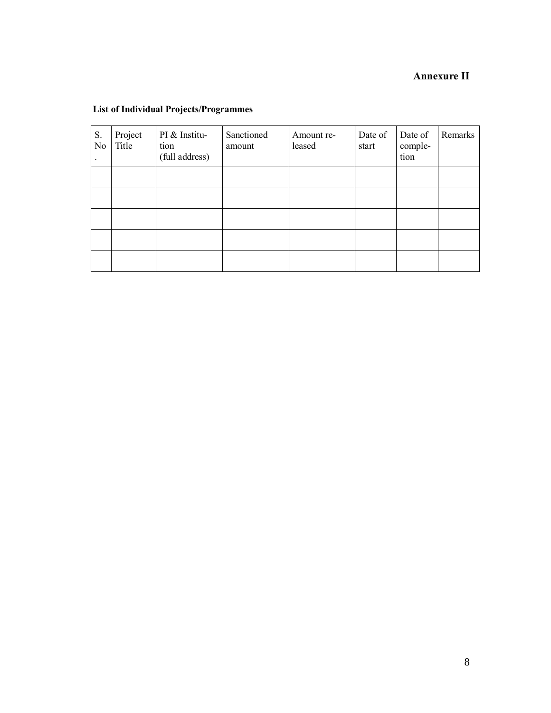# **Annexure II**

#### **List of Individual Projects/Programmes**

| S.<br>No | Project<br>Title | PI & Institu-<br>tion<br>(full address) | Sanctioned<br>amount | Amount re-<br>leased | Date of<br>start | Date of<br>comple-<br>tion | Remarks |
|----------|------------------|-----------------------------------------|----------------------|----------------------|------------------|----------------------------|---------|
|          |                  |                                         |                      |                      |                  |                            |         |
|          |                  |                                         |                      |                      |                  |                            |         |
|          |                  |                                         |                      |                      |                  |                            |         |
|          |                  |                                         |                      |                      |                  |                            |         |
|          |                  |                                         |                      |                      |                  |                            |         |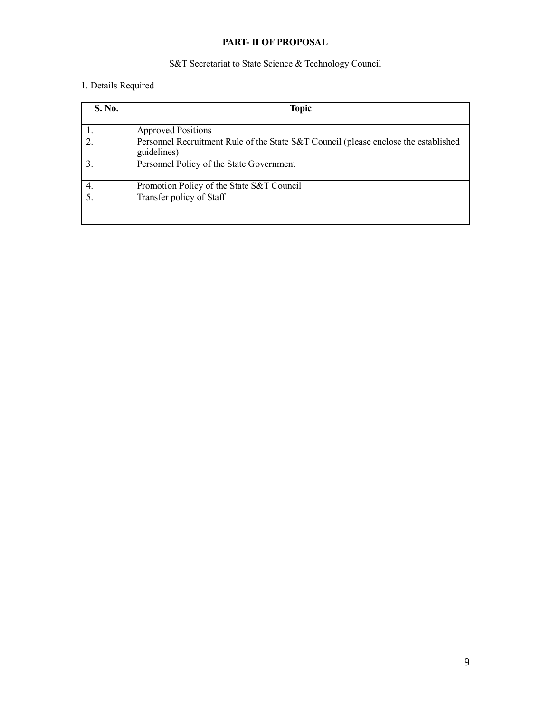### **PART- II OF PROPOSAL**

### S&T Secretariat to State Science & Technology Council

# 1. Details Required

| <b>S. No.</b> | <b>Topic</b>                                                                                       |  |  |  |  |
|---------------|----------------------------------------------------------------------------------------------------|--|--|--|--|
|               | <b>Approved Positions</b>                                                                          |  |  |  |  |
| 2.            | Personnel Recruitment Rule of the State S&T Council (please enclose the established<br>guidelines) |  |  |  |  |
|               | Personnel Policy of the State Government                                                           |  |  |  |  |
|               | Promotion Policy of the State S&T Council                                                          |  |  |  |  |
| 5.            | Transfer policy of Staff                                                                           |  |  |  |  |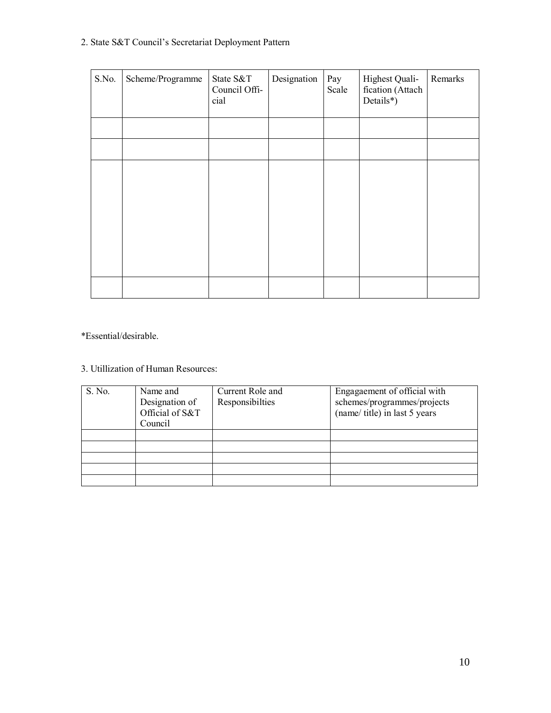# 2. State S&T Council's Secretariat Deployment Pattern

| S.No. | Scheme/Programme | State S&T<br>Council Offi-<br>cial | Designation | Pay<br>Scale | Highest Quali-<br>fication (Attach<br>Details*) | Remarks |
|-------|------------------|------------------------------------|-------------|--------------|-------------------------------------------------|---------|
|       |                  |                                    |             |              |                                                 |         |
|       |                  |                                    |             |              |                                                 |         |
|       |                  |                                    |             |              |                                                 |         |
|       |                  |                                    |             |              |                                                 |         |
|       |                  |                                    |             |              |                                                 |         |

\*Essential/desirable.

# 3. Utillization of Human Resources:

| S. No. | Name and<br>Designation of<br>Official of S&T<br>Council | Current Role and<br>Responsibilties | Engagaement of official with<br>schemes/programmes/projects<br>(name/ title) in last 5 years |
|--------|----------------------------------------------------------|-------------------------------------|----------------------------------------------------------------------------------------------|
|        |                                                          |                                     |                                                                                              |
|        |                                                          |                                     |                                                                                              |
|        |                                                          |                                     |                                                                                              |
|        |                                                          |                                     |                                                                                              |
|        |                                                          |                                     |                                                                                              |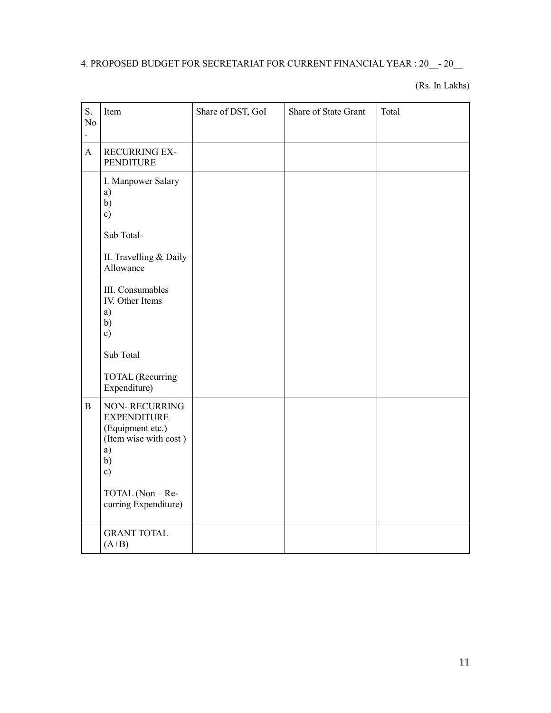# 4. PROPOSED BUDGET FOR SECRETARIAT FOR CURRENT FINANCIAL YEAR : 20\_\_- 20\_\_

(Rs. In Lakhs)

| S.<br>N <sub>o</sub> | Item                                                                                                                                                          | Share of DST, GoI | Share of State Grant | Total |
|----------------------|---------------------------------------------------------------------------------------------------------------------------------------------------------------|-------------------|----------------------|-------|
| $\mathbf{A}$         | <b>RECURRING EX-</b><br>PENDITURE                                                                                                                             |                   |                      |       |
|                      | I. Manpower Salary<br>a)<br>b)<br>c)<br>Sub Total-<br>II. Travelling & Daily<br>Allowance<br>III. Consumables<br>IV. Other Items<br>a)<br>b)<br>$\mathbf{c})$ |                   |                      |       |
|                      | Sub Total<br><b>TOTAL</b> (Recurring<br>Expenditure)                                                                                                          |                   |                      |       |
| $\, {\bf B}$         | NON-RECURRING<br><b>EXPENDITURE</b><br>(Equipment etc.)<br>(Item wise with cost)<br>a)<br>b)<br>c)<br>TOTAL (Non - Re-<br>curring Expenditure)                |                   |                      |       |
|                      | <b>GRANT TOTAL</b><br>$(A+B)$                                                                                                                                 |                   |                      |       |